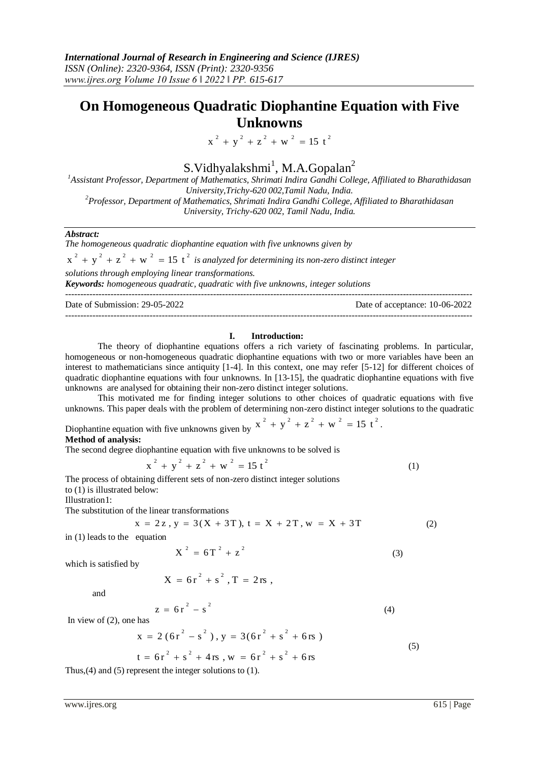## **On Homogeneous Quadratic Diophantine Equation with Five Unknowns**

 $x^{2} + y^{2} + z^{2} + w^{2} = 15 t^{2}$ 

# S. Vidhyalakshmi<sup>1</sup>, M.A. Gopalan<sup>2</sup>

*<sup>1</sup>Assistant Professor, Department of Mathematics, Shrimati Indira Gandhi College, Affiliated to Bharathidasan University,Trichy-620 002,Tamil Nadu, India. <sup>2</sup>Professor, Department of Mathematics, Shrimati Indira Gandhi College, Affiliated to Bharathidasan University, Trichy-620 002, Tamil Nadu, India.*

## *Abstract:*

*The homogeneous quadratic diophantine equation with five unknowns given by* 

 $x^2 + y^2 + z^2 + w^2 = 15 t^2$  *is analyzed for determining its non-zero distinct integer* 

*solutions through employing linear transformations.*

*Keywords: homogeneous quadratic, quadratic with five unknowns, integer solutions* ---------------------------------------------------------------------------------------------------------------------------------------

Date of Submission: 29-05-2022 Date of acceptance: 10-06-2022 ---------------------------------------------------------------------------------------------------------------------------------------

#### **I. Introduction:**

The theory of diophantine equations offers a rich variety of fascinating problems. In particular, homogeneous or non-homogeneous quadratic diophantine equations with two or more variables have been an interest to mathematicians since antiquity [1-4]. In this context, one may refer [5-12] for different choices of quadratic diophantine equations with four unknowns. In [13-15], the quadratic diophantine equations with five unknowns are analysed for obtaining their non-zero distinct integer solutions.

This motivated me for finding integer solutions to other choices of quadratic equations with five unknowns. This paper deals with the problem of determining non-zero distinct integer solutions to the quadratic

Diophantine equation with five unknowns given by 
$$
x^2 + y^2 + z^2 + w^2 = 15 t^2
$$
.

**Method of analysis:**

The second degree diophantine equation with five unknowns to be solved is

$$
x^{2} + y^{2} + z^{2} + w^{2} = 15t^{2}
$$
 (1)

The process of obtaining different sets of non-zero distinct integer solutions to  $(1)$  is illustrated below:

Illustration1:

The substitution of the linear transformations

$$
x = 2z, y = 3(X + 3T), t = X + 2T, w = X + 3T
$$
 (2)

in (1) leads to the equation

$$
X^2 = 6T^2 + z^2 \tag{3}
$$

which is satisfied by

$$
X = 6r^2 + s^2, T = 2rs,
$$

and

$$
z = 6r2 - s2
$$
 (4)

In view of (2), one has

$$
x = 2(6r2 - s2), y = 3(6r2 + s2 + 6rs)
$$
  

$$
t = 6r2 + s2 + 4rs, w = 6r2 + s2 + 6rs
$$
 (5)

Thus,(4) and (5) represent the integer solutions to (1).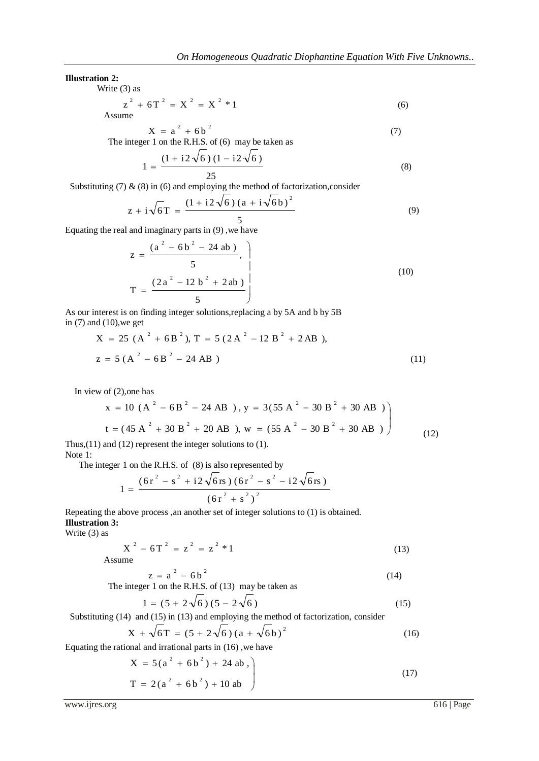#### **Illustration 2:**

Write (3) as

$$
z^{2} + 6T^{2} = X^{2} = X^{2} * 1
$$
 (6)

$$
X = a^{2} + 6b^{2}
$$
 (7)

The integer 1 on the R.H.S. of (6) may be taken as

$$
1 = \frac{(1 + i2\sqrt{6})(1 - i2\sqrt{6})}{25}
$$
 (8)

Substituting (7)  $\&$  (8) in (6) and employing the method of factorization, consider

$$
z + i\sqrt{6T} = \frac{(1 + i2\sqrt{6})(a + i\sqrt{6}b)^{2}}{5}
$$
(9)

Equating the real and imaginary parts in (9) ,we have

$$
z = \frac{(a^{2} - 6b^{2} - 24 ab)}{5},
$$
  
\n
$$
T = \frac{(2a^{2} - 12b^{2} + 2ab)}{5}
$$
 (10)

As our interest is on finding integer solutions,replacing a by 5A and b by 5B in  $(7)$  and  $(10)$ , we get

$$
X = 25 (A2 + 6B2), T = 5 (2A2 - 12B2 + 2AB),
$$
  

$$
z = 5 (A2 - 6B2 - 24AB)
$$
 (11)

In view of (2),one has

$$
x = 10 (A2 - 6B2 - 24 AB), y = 3(55 A2 - 30 B2 + 30 AB )
$$
  
\n
$$
t = (45 A2 + 30 B2 + 20 AB), w = (55 A2 - 30 B2 + 30 AB )
$$
  
\nand (12) represent the integer solutions to (1) (12)

Thus,(11) and (12) represent the integer solutions to (1).

Note 1:

The integer 1 on the R.H.S. of (8) is also represented by

$$
1 = \frac{(6r^{2} - s^{2} + i2\sqrt{6rs})(6r^{2} - s^{2} - i2\sqrt{6rs})}{(6r^{2} + s^{2})^{2}}
$$

Repeating the above process ,an another set of integer solutions to (1) is obtained. **Illustration 3:**

Write (3) as

$$
X^2 - 6T^2 = z^2 = z^2 * 1
$$
 (13)

Assu

$$
z = a2 - 6b2
$$
 (14)

The integer 1 on the R.H.S. of (13) may be taken as

$$
1 = (5 + 2\sqrt{6})(5 - 2\sqrt{6})
$$
\n(15)

Substituting (14) and (15) in (13) and employing the method of factorization, consider  $\overline{2}$ 

$$
X + \sqrt{6T} = (5 + 2\sqrt{6}) (a + \sqrt{6b})^2
$$
 (16)

Equating the rational and irrational parts in (16) ,we have

$$
X = 5(a2 + 6b2) + 24 ab,T = 2(a2 + 6b2) + 10 ab
$$
 (17)